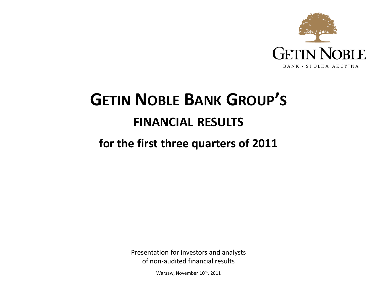

# **GETIN NOBLE BANK GROUP'S FINANCIAL RESULTS**

# **for the first three quarters of 2011**

Presentation for investors and analysts of non-audited financial results

Warsaw, November 10<sup>th</sup>, 2011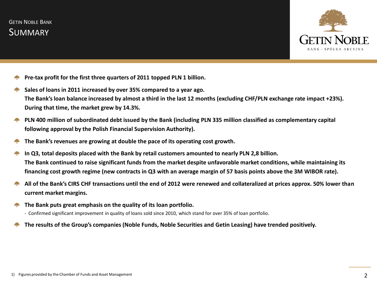

- **Pre-tax profit for the first three quarters of 2011 topped PLN 1 billion.**
- **Sales of loans in 2011 increased by over 35% compared to a year ago.** a pro **The Bank's loan balance increased by almost a third in the last 12 months (excluding CHF/PLN exchange rate impact +23%). During that time, the market grew by 14.3%.**
- **PLN 400 million of subordinated debt issued by the Bank (including PLN 335 million classified as complementary capital City following approval by the Polish Financial Supervision Authority).**
- **The Bank's revenues are growing at double the pace of its operating cost growth.**
- **In Q3, total deposits placed with the Bank by retail customers amounted to nearly PLN 2,8 billion. The Bank continued to raise significant funds from the market despite unfavorable market conditions, while maintaining its financing cost growth regime (new contracts in Q3 with an average margin of 57 basis points above the 3M WIBOR rate).**
- **All of the Bank's CIRS CHF transactions until the end of 2012 were renewed and collateralized at prices approx. 50% lower than current market margins.**
- **The Bank puts great emphasis on the quality of its loan portfolio. College** 
	- Confirmed significant improvement in quality of loans sold since 2010, which stand for over 35% of loan portfolio.
- **The results of the Group's companies (Noble Funds, Noble Securities and Getin Leasing) have trended positively.**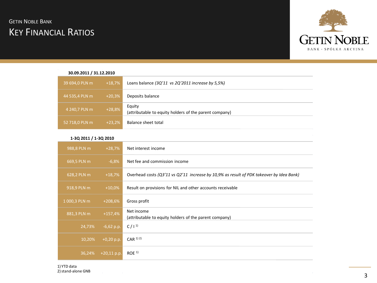# KEY FINANCIAL RATIOS **GETIN NOBLE BANK**



| 30.09.2011 / 31.12.2010 |          |                                                                        |
|-------------------------|----------|------------------------------------------------------------------------|
| 39 694,0 PLN m          | $+18,7%$ | Loans balance $(3Q'11 \text{ vs } 2Q'2011 \text{ increase by } 5.5\%)$ |
| 44 535,4 PLN m          | $+20,3%$ | Deposits balance                                                       |
| 4 240,7 PLN m           | $+28,8%$ | Equity<br>(attributable to equity holders of the parent company)       |
| 52 718,0 PLN m          | $+23,2%$ | Balance sheet total                                                    |

#### **1-3Q 2011 / 1-3Q 2010**

| 988,8 PLN m   | $+28,7%$      | Net interest income                                                                      |
|---------------|---------------|------------------------------------------------------------------------------------------|
| 669,5 PLN m   | $-6,8%$       | Net fee and commission income                                                            |
| 628,2 PLN m   | $+18,7%$      | Overhead costs (Q3'11 vs Q2'11 increase by 10,9% as result of PDK takeover by Idea Bank) |
| 918,9 PLN m   | $+10,0%$      | Result on provisions for NIL and other accounts receivable                               |
| 1 000,3 PLN m | $+208,6%$     | Gross profit                                                                             |
| 881,3 PLN m   | $+157,4%$     | Net income<br>(attributable to equity holders of the parent company)                     |
| 24,73%        | $-6,62$ p.p.  | $C / 1^{1}$                                                                              |
| 10,20%        | $+0,20 p.p.$  | $CAR$ <sup>1)</sup> <sup>2)</sup>                                                        |
| 36,24%        | $+20,11$ p.p. | ROE <sup>1</sup>                                                                         |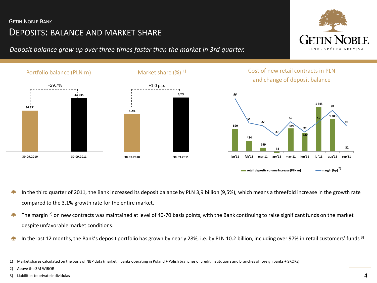# DEPOSITS: BALANCE AND MARKET SHARE

*Deposit balance grew up over three times faster than the market in 3rd quarter.*



+29,7% Portfolio balance (PLN m) Market share  $(\%)$ <sup>1)</sup> +1,0 p.p. **34 331 44 535 30.09.2010 30.09.2011 5,2% 6,2% 30.09.2010 30.09.2011 890 424**  *86 51*

Cost of new retail contracts in PLN and change of deposit balance



- In the third quarter of 2011, the Bank increased its deposit balance by PLN 3,9 billion (9,5%), which means a threefold increase in the growth rate compared to the 3.1% growth rate for the entire market.
- The margin <sup>2)</sup> on new contracts was maintained at level of 40-70 basis points, with the Bank continuing to raise significant funds on the market С. despite unfavorable market conditions.
- In the last 12 months, the Bank's deposit portfolio has grown by nearly 28%, i.e. by PLN 10.2 billion, including over 97% in retail customers' funds  $3$

- 2) Above the 3M WIBOR
- 3) Liabilities to private individulas

<sup>1)</sup> Market shares calculated on the basis of NBP data (market = banks operating in Poland + Polish branches of credit institutions and branches of foreign banks + SKOKs)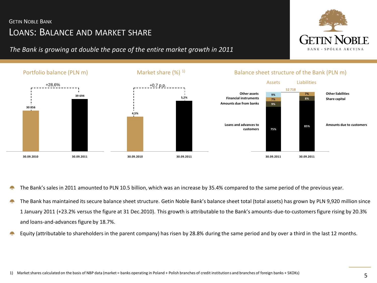# LOANS: BALANCE AND MARKET SHARE **GETIN NOBLE BANK**

*The Bank is growing at double the pace of the entire market growth in 2011*





- The Bank's sales in 2011 amounted to PLN 10.5 billion, which was an increase by 35.4% compared to the same period of the previous year.
- The Bank has maintained its secure balance sheet structure. Getin Noble Bank's balance sheet total (total assets) has grown by PLN 9,920 million since 1 January 2011 (+23.2% versus the figure at 31 Dec.2010). This growth is attributable to the Bank's amounts-due-to-customers figure rising by 20.3% and loans-and-advances figure by 18.7%.
- Equity (attributable to shareholders in the parent company) has risen by 28.8% during the same period and by over a third in the last 12 months.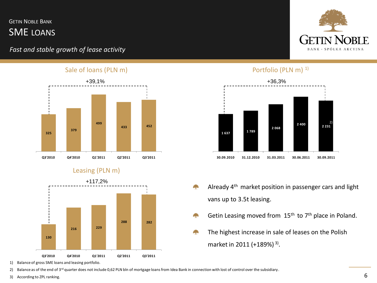SME LOANS

### *Fast and stable growth of lease activity*



#### Sale of loans (PLN m)



#### Leasing (PLN m)



- 1) Balance of gross SME loans and leasing portfolio.
- 2) Balance as of the end of 3<sup>rd</sup> quarter does not include 0,62 PLN bln of mortgage loans from Idea Bank in connection with lost of control over the subsidiary.
- 3) According to ZPL ranking.

#### Portfolio (PLN m)<sup>1)</sup>



- Already 4<sup>th</sup> market position in passenger cars and light vans up to 3.5t leasing.
- Getin Leasing moved from 15<sup>th</sup> to 7<sup>th</sup> place in Poland. A.
- The highest increase in sale of leases on the Polish A. market in 2011 (+189%)<sup>3)</sup>.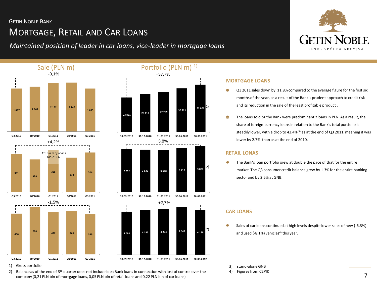# MORTGAGE, RETAIL AND CAR LOANS

*Maintained position of leader in car loans, vice-leader in mortgage loans*











#### **MORTGAGE LOANS**

- Æ. Q3 2011 sales down by 11.8% compared to the average figure for the first six months of the year, as a result of the Bank's prudent approach to credit risk and its reduction in the sale of the least profitable product .
- A. The loans sold bz the Bank were predominantlz loans in PLN. As a result, the share of foreign-currency loans in relation to the Bank's total portfolio is steadily lower, with a drop to 43.4%  $3$ ) as at the end of Q3 2011, meaning it was lower by 2.7% than as at the end of 2010.

#### **RETAIL LONAS**

The Bank's loan portfolio grew at double the pace of that for the entire 4 market. The Q3 consumer credit balance grew by 1.3% for the entire banking sector and by 2.5% at GNB.

#### **CAR LOANS**

Sales of car loans continued at high levels despite lower sales of new (-6.3%) and used (-8.1%) vehicles<sup>4)</sup> this year.

- 3) stand-alone GNB
- 4) Figures from CEPIK

1) Gross portfolio

2) Balance as of the end of  $3^{rd}$  quarter does not include Idea Bank loans in connection with lost of control over the company (0,21 PLN bln of mortgage loans, 0,05 PLN bln of retail loans and 0,22 PLN bln of car loans)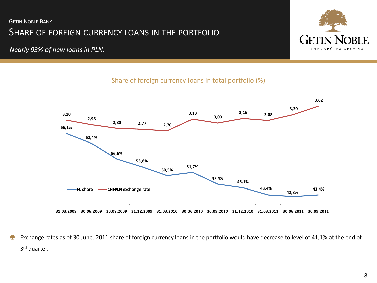# SHARE OF FOREIGN CURRENCY LOANS IN THE PORTFOLIO **GETIN NOBLE BANK**

*Nearly 93% of new loans in PLN.* 



Share of foreign currency loans in total portfolio (%)



Exchange rates as of 30 June. 2011 share of foreign currency loans in the portfolio would have decrease to level of 41,1% at the end of **Contract** 3<sup>rd</sup> quarter.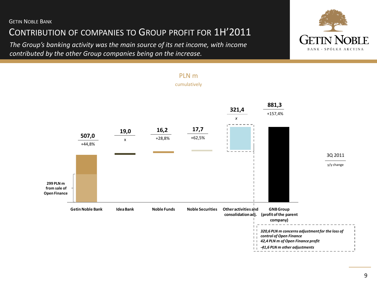CONTRIBUTION OF COMPANIES TO GROUP PROFIT FOR 1H'2011

*The Group's banking activity was the main source of its net income, with income contributed by the other Group companies being on the increase.*



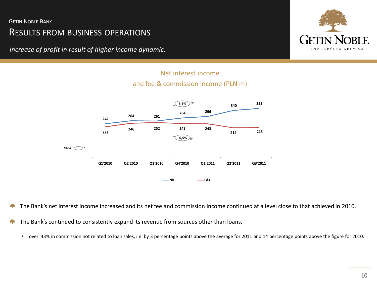# RESULTS FROM BUSINESS OPERATIONS

*Increase of profit in result of higher income dynamic.*







The Bank's net interest income increased and its net fee and commission income continued at a level close to that achieved in 2010. **Contract** 

- The Bank's continued to consistently expand its revenue from sources other than loans. 42
	- over 43% in commission not related to loan sales, i.e. by 3 percentage points above the average for 2011 and 14 percentage points above the figure for 2010.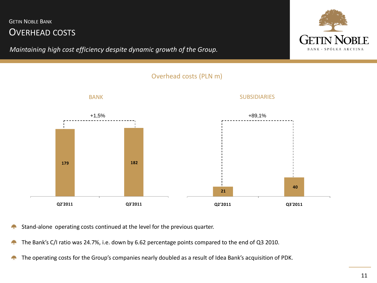# OVERHEAD COSTS

*Maintaining high cost efficiency despite dynamic growth of the Group.*







Stand-alone operating costs continued at the level for the previous quarter.

- The Bank's C/I ratio was 24.7%, i.e. down by 6.62 percentage points compared to the end of Q3 2010. r.<br>Ta
- The operating costs for the Group's companies nearly doubled as a result of Idea Bank's acquisition of PDK. **Si**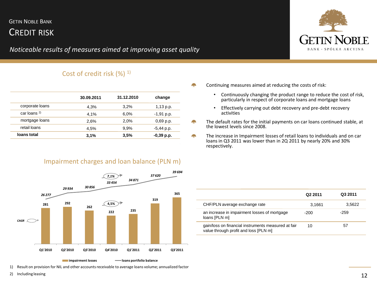# CREDIT RISK

*Noticeable results of measures aimed at improving asset quality*



#### Cost of credit risk (%)<sup>1)</sup>

|                 | 30.09.2011 | 31.12.2010 | change       |
|-----------------|------------|------------|--------------|
| corporate loans | 4.3%       | 3,2%       | $1,13$ p.p.  |
| car loans $2$   | 4.1%       | 6.0%       | $-1,91$ p.p. |
| mortgage loans  | 2.6%       | 2,0%       | $0,69$ p.p.  |
| retail loans    | 4,5%       | 9,9%       | $-5,44$ p.p. |
| loans total     | 3,1%       | 3,5%       | $-0,39$ p.p. |

#### Impairment charges and loan balance (PLN m)



**impairment losses impairment losses immed and** *impairment losses* 

1) Result on provision for NIL and other accounts receivable to average loans volume; annualized factor

- Continuing measures aimed at reducing the costs of risk: A.
	- Continuously changing the product range to reduce the cost of risk, particularly in respect of corporate loans and mortgage loans
	- Effectively carrying out debt recovery and pre-debt recovery activities
- A. The default rates for the initial payments on car loans continued stable, at the lowest levels since 2008.
- A. The increase in Impairment losses of retail loans to individuals and on car loans in Q3 2011 was lower than in 2Q 2011 by nearly 20% and 30% respectively.

|                                                                                              | Q <sub>2</sub> 2011 | Q3 2011 |
|----------------------------------------------------------------------------------------------|---------------------|---------|
| CHF/PLN average exchange rate                                                                | 3.1661              | 3,5622  |
| an increase in impairment losses of mortgage<br>loans [PLN m]                                | $-200$              | $-259$  |
| gain/loss on financial instruments measured at fair<br>value through profit and loss [PLN m] | 10                  | 57      |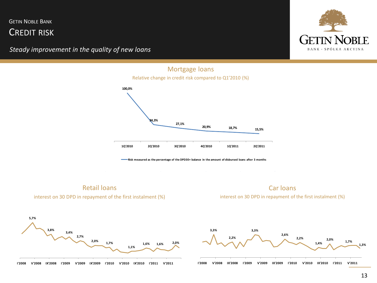CREDIT RISK

*Steady improvement in the quality of new loans*



### Mortgage loans

Relative change in credit risk compared to Q1'2010 (%)



#### Retail loans interest on 30 DPD in repayment of the first instalment (%)



interest on 30 DPD in repayment of the first instalment (%)

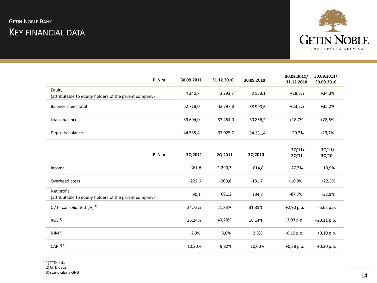

| PLN <sub>m</sub> | 30.09.2011                                                                                                       | 31.12.2010 | 30.09.2010  | 30.09.2011/<br>31.12.2010 | 30.09.2011/<br>30.09.2010 |
|------------------|------------------------------------------------------------------------------------------------------------------|------------|-------------|---------------------------|---------------------------|
|                  | 4 2 4 0 , 7                                                                                                      | 3 2 9 3, 7 | 3 1 5 8 , 1 | $+28,8%$                  | $+34,3%$                  |
|                  | 52 718,0                                                                                                         | 42 797,8   | 38 990,6    | $+23,2%$                  | +35,2%                    |
|                  | 39 694,0                                                                                                         | 33 454,0   | 30 856,2    | $+18,7%$                  | $+28,6%$                  |
|                  | 44 535,4                                                                                                         | 37 025,7   | 34 331,4    | $+20,3%$                  | $+29,7%$                  |
| PLN <sub>m</sub> | 3Q 2011                                                                                                          | 2Q 2011    | 3Q 2010     | 3Q'11/<br>2Q'11           | 3Q'11/<br>3Q'10           |
|                  | 681,8                                                                                                            | 1 2 9 0, 3 | 614,8       | $-47,2%$                  | $+10,9%$                  |
|                  | $-222,6$                                                                                                         | $-200,8$   | $-181,7$    | $+10,9%$                  | $+22,5%$                  |
|                  | 90,1                                                                                                             | 691,2      | 134,3       | -87,0%                    | $-32,9%$                  |
|                  | 24,73%                                                                                                           | 21,83%     | 31,35%      | $+2,90$ p.p.              | $-6,62$ p.p.              |
|                  | (attributable to equity holders of the parent company)<br>(attributable to equity holders of the parent company) |            |             |                           |                           |

| ROE <sup>1</sup>       | 36,24% | 49,28% | 16,14% | $-13,03$ p.p. | $+20,11$ p.p. |
|------------------------|--------|--------|--------|---------------|---------------|
| NIM <sup>2</sup>       | 2,9%   | 3,0%   | 2,8%   | $-0,10$ p.p.  | $+0,10$ p.p.  |
| $CAR$ <sup>1) 3)</sup> | 10,20% | 9,82%  | 10,00% | $+0,38$ p.p.  | $+0,20$ p.p.  |
|                        |        |        |        |               |               |